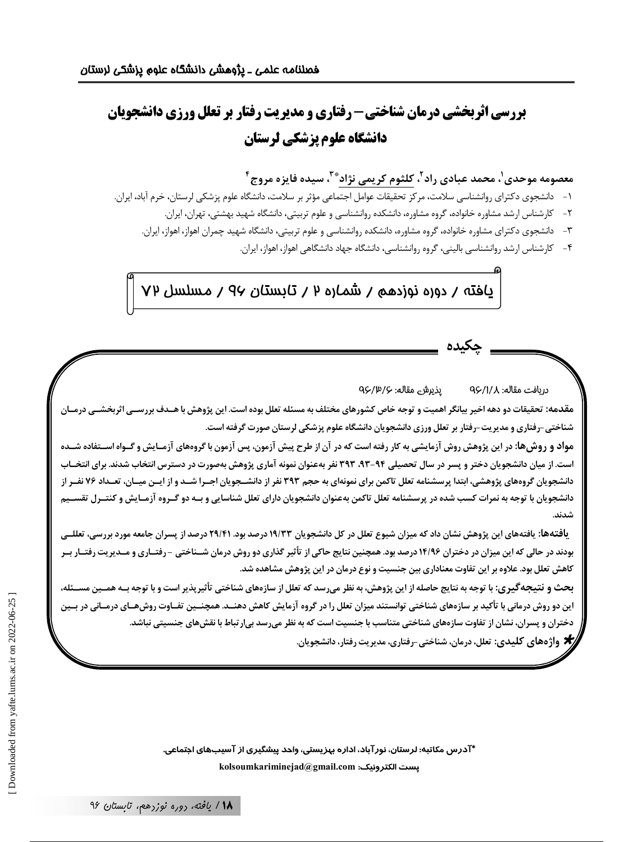# **بررسی اثربخشی درمان شناختی- رفتاری و مدیریت رفتار بر تعلل ورزی دانشجویان** دانشگاه علوم پزشکی لرستان

معصومه موحدی'، محمد عبادی راد<sup>۲</sup>، کلثوم کریمی نژاد ٌ ّ ّ، سیده فایزه مروج ٔ

- ١- دانشجوي دكتراي روانشناسي سلامت، مركز تحقيقات عوامل اجتماعي مؤثر بر سلامت، دانشگاه علوم پزشكي لرستان، خرم آباد، ايران.
	- ۲– کارشناس ارشد مشاوره خانواده، گروه مشاوره، دانشکده روانشناسی و علوم تربیتی، دانشگاه شهید بهشتی، تهران، ایران.
	- ۳- دانشجوی دکترای مشاوره خانواده، گروه مشاوره، دانشکده روانشناسی و علوم تربیتی، دانشگاه شهید چمران اهواز، اهواز، ایران.
		- ۴- کارشناس ارشد روانشناسی بالینی، گروه روانشناسی، دانشگاه جهاد دانشگاهی اهواز، اهواز، ایران.

پافته / دوره نوزدهم / شماره ۲ / تابستان ۹۶ / مسلسل ۷۲

#### يذيرش مقاله: ٩۶/٣/٧ دريافت مقاله: QÇ/I/A

مقدمه: تحقیقات دو دهه اخیر بیانگر اهمیت و توجه خاص کشورهای مختلف به مسئله تعلل بوده است. این پژوهش با هــدف بررســی اثربخشــی درمـ شناختی –رفتاری و مدیریت–رفتار بر تعلل ورزی دانشجویان دانشگاه علوم پزشکی لرستان صورت گرفته است.

مواد و روش ها: در این پژوهش روش آزمایشی به کار رفته است که در آن از طرح پیش آزمون، پس آزمون با گروههای آزمـایش و گـواه اســتفاده شــده است. از میان دانشجویان دختر و پسر در سال تحصیلی ۹۳–۹۳، ۳۹۳ نفر بهعنوان نمونه آماری پژوهش بهصورت در دسترس انتخاب شدند. برای انتخــاب دانشجویان گروههای پژوهشی، ابتدا پرسشنامه تعلل تاکمن برای نمونهای به حجم ۳۹۳ نفر از دانشــجویان اجــرا شــد و از ایــن میــان، تعــداد ۷۶ نفــر از دانشجویان با توجه به نمرات کسب شده در پرسشنامه تعلل تاکمن بهعنوان دانشجویان دارای تعلل شناسایی و بــه دو گــروه آزمــایش و کنتــرل تقســیم

یافتهها: یافتههای این پژوهش نشان داد که میزان شیوع تعلل در کل دانشجویان ۱۹/۳۳ درصد بود. ۲۹/۴۱ درصد از پسران جامعه مورد بررسی، تعللــی بودند در حالی که این میزان در دختران ۱۴/۹۶ درصد بود. همچنین نتایج حاکی از تأثیر گذاری دو روش درمان شــناختی -رفتــاری و مــدیریت رفتــار بــر کاهش تعلل بود. علاوه بر این تفاوت معناداری بین جنسیت و نوع درمان در این پژوهش مشاهده شد.

بحث و نتیجهگیری: با توجه به نتایج حاصله از این پژوهش، به نظر میرسد که تعلل از سازههای شناختی تأثیرپذیر است و با توجه بــه همــین مســئله، این دو روش درمانی با تأکید بر سازههای شناختی توانستند میزان تعلل را در گروه آزمایش کاهش دهنــد. همچنــین تفــاوت روشهــای درمــانی در بــین دختران و پسران، نشان از تفاوت سازههای شناختی متناسب با جنسیت است که به نظر میرسد بیارتباط با نقشهای جنسیتی نباشد.

**★** واژەهای کلیدی: تعلل، درمان، شناختی-رفتاری، مدیریت رفتار، دانشجویان.

\*آدرس مکاتبه: لرستان، نور آباد، اداره بهزیستی، واحد پیشگیری از آسیبهای اجتماعی. kolsoumkariminejad@gmail.com :يست الكترونيك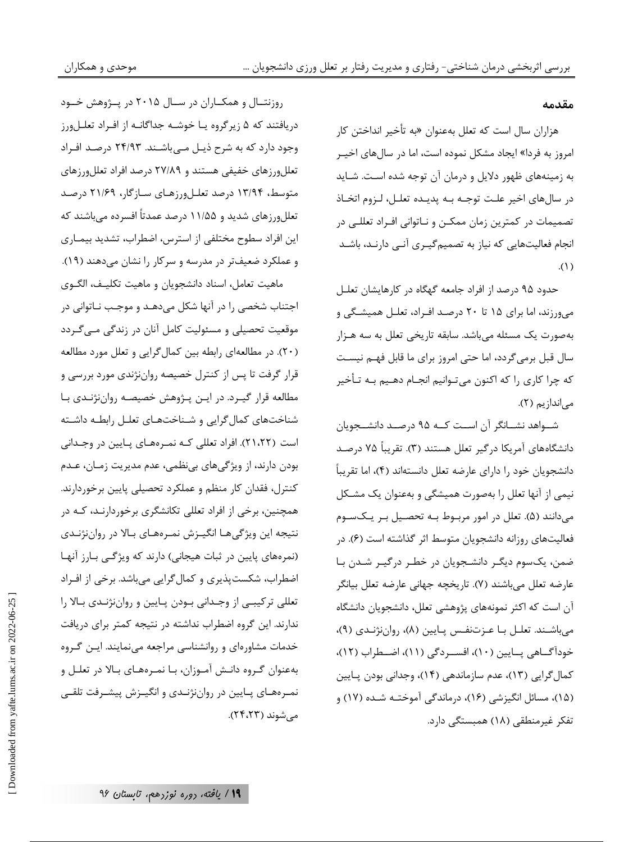#### مقدمه

هزاران سال است که تعلل بهعنوان «به تأخیر انداختن کار امروز به فردا» ایجاد مشکل نموده است، اما در سالهای اخیـر به زمینههای ظهور دلایل و درمان آن توجه شده است. شـاید در سالهای اخیر علت توجـه بـه پدیـده تعلـل، لـزوم اتخـاذ تصمیمات در کمترین زمان ممکـن و نـاتوانی افـراد تعللـی در انجام فعالیتهایی که نیاز به تصمیم گیـری آنـی دارنـد، باشـد  $\Lambda$ .

حدود ۹۵ درصد از افراد جامعه گهگاه در کارهایشان تعلـل می ورزند، اما برای ۱۵ تا ۲۰ درصد افـراد، تعلـل همیشـگی و بهصورت یک مسئله می باشد. سابقه تاریخی تعلل به سه هـزار سال قبل برمی گردد، اما حتی امروز برای ما قابل فهم نیست که چرا کاری را که اکنون می تـوانیم انجــام دهــیم بــه تــأخیر می اندازیم (۲).

شــواهد نشــانگر آن اســت كــه ۹۵ درصــد دانشــجويان دانشگاههای آمریکا درگیر تعلل هستند (۳). تقریباً ۷۵ درصـد دانشجویان خود را دارای عارضه تعلل دانستهاند (۴)، اما تقریباً نیمی از آنها تعلل را بهصورت همیشگی و بهعنوان یک مشکل میدانند (۵). تعلل در امور مربوط بـه تحصـیل بـر یـکسـوم فعالیتهای روزانه دانشجویان متوسط اثر گذاشته است (۶). در ضمن، یکسوم دیگـر دانشـجویان در خطـر درگیـر شـدن بـا عارضه تعلل مي باشند (٧). تاريخچه جهاني عارضه تعلل بيانگر آن است که اکثر نمونههای پژوهشی تعلل، دانشجویان دانشگاه میباشند. تعلل با عزتنفس پایین (۸)، رواننژندی (۹)، خوداًگـــاهي پـــايين (١٠)، افســـردگي (١١)، اضـــطراب (١٢)، کمال گرایی (۱۳)، عدم سازماندهی (۱۴)، وجدانی بودن پـایین (۱۵)، مسائل انگیزشی (۱۶)، درماندگی آموختـه شـده (۱۷) و تفکر غیرمنطقی (۱۸) همبستگی دارد.

روزنتـال و همکــاران در ســال ۲۰۱۵ در پــژوهش خــود دریافتند که ۵ زیرگروه یـا خوشـه جداگانـه از افـراد تعلـلورز وجود دارد که به شرح ذیـل مـیباشـند. ۲۴/۹۳ درصـد افـراد تعللورزهای خفیفی هستند و ۲۷/۸۹ درصد افراد تعللورزهای متوسط، ۱۳/۹۴ درصد تعلیلورزهای سازگار، ۲۱/۶۹ درصد تعللورزهای شدید و ۱۱/۵۵ درصد عمدتاً افسرده میباشند که این افراد سطوح مختلفی از استرس، اضطراب، تشدید بیمـاری و عملکرد ضعیفتر در مدرسه و سرکار را نشان میدهند (۱۹).

ماهيت تعامل، اسناد دانشجويان و ماهيت تكليـف، الگـوى اجتناب شخصی را در آنها شکل میدهـد و موجـب نـاتوانی در موقعیت تحصیلی و مسئولیت کامل آنان در زندگی مـیگـردد (۲۰). در مطالعهای رابطه بین کمالگرایی و تعلل مورد مطالعه قرار گرفت تا پس از کنترل خصیصه رواننژندی مورد بررسی و مطالعه قرار گیـرد. در ایـن پـژوهش خصیصـه رواننژنـدی بـا شناختهای کمال گرایی و شـناختهـای تعلـل رابطـه داشـته است (۲۱،۲۲). افراد تعللی کـه نمـرههـای پـایین در وجـدانی بودن دارند، از ویژگیهای بینظمی، عدم مدیریت زمـان، عـدم كنترل، فقدان كار منظم و عملكرد تحصيلي پايين برخوردارند. همچنین، برخی از افراد تعللی تکانشگری برخوردارنـد، کـه در نتيجه اين ويژگىهـا انگيـزش نمـرههـاي بـالا در رواننژنـدي (نمرههای پایین در ثبات هیجانی) دارند که ویژگی بارز آنها اضطراب، شکست پذیری و کمال گرایی می باشد. برخی از افـراد تعللی ترکیبے از وجـدانی بـودن پـایین و رواننژنـدی بـالا را ندارند. این گروه اضطراب نداشته در نتیجه کمتر برای دریافت خدمات مشاورهای و روانشناسی مراجعه مینمایند. ایـن گـروه بهعنوان گـروه دانـش آمـوزان، بـا نمـرههـاي بـالا در تعلـل و نمـرههـاي پـايين در رواننژنـدي و انگيـزش پيشـرفت تلقـي میشوند (۲۴،۲۳).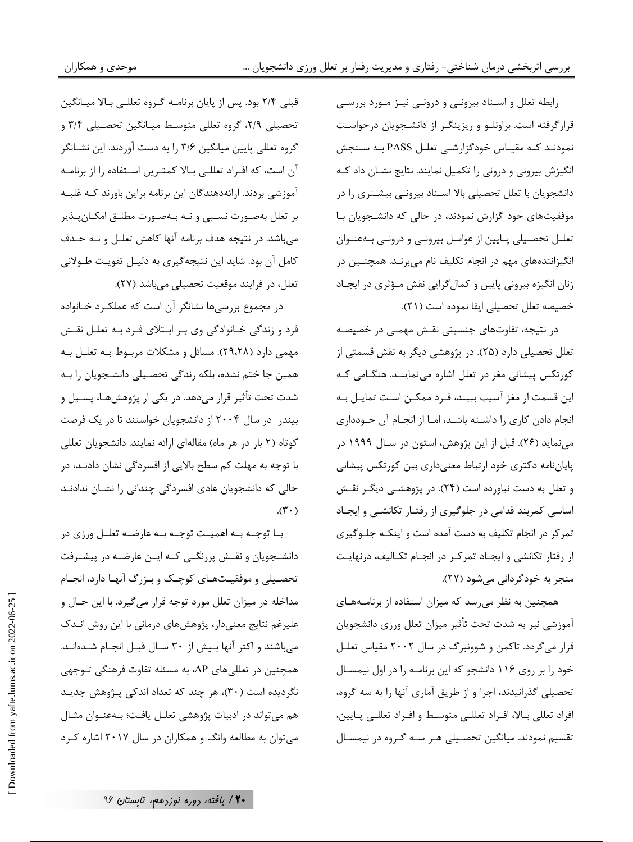رابطه تعلل و استناد بیرونے و درونے تینز منورد بررسے قرارگرفته است. براونلو و ریزینگر از دانشجویان درخواست نمودنـد کـه مقيـاس خودگزارشـي تعلـل PASS بـه سـنجش انگیزش بیرونی و درونی را تکمیل نمایند. نتایج نشـان داد کـه دانشجویان با تعلل تحصیلی بالا اسـناد بیرونـی بیشـتری را در موفقیتهای خود گزارش نمودند، در حالی که دانشـجویان بـا تعلـل تحصـيلي پـايين از عوامـل بيرونـي و درونـي بـهعنـوان انگیزانندههای مهم در انجام تکلیف نام می,برنـد. همچنــین در زنان انگیزه بیرونی پایین و کمال گرایی نقش مؤثری در ایجاد خصيصه تعلل تحصيلي ايفا نموده است (٢١).

در نتیجه، تفاوتهای جنسیتی نقـش مهمـی در خصیصـه تعلل تحصیلی دارد (۲۵). در پژوهشی دیگر به نقش قسمتی از کورتکس پیشانی مغز در تعلل اشاره می نماینـد. هنگـامی کـه این قسمت از مغز آسیب ببیند، فـرد ممکـن اسـت تمایـل بـه انجام دادن کاری را داشته باشد، امـا از انجـام آن خـودداری می نماید (۲۶). قبل از این پژوهش، استون در سـال ۱۹۹۹ در پایاننامه دکتری خود ارتباط معنیداری بین کورتکس پیشانی و تعلل به دست نیاورده است (۲۴). در پژوهشـی دیگـر نقـش اساسی کمربند قدامی در جلوگیری از رفتار تکانشی و ایجاد تمرکز در انجام تکلیف به دست آمده است و اینکـه جلـوگیری از رفتار تکانشی و ایجـاد تمرکـز در انجـام تکـالیف، درنهایـت منجر به خودگردانی می شود (۲۷).

همچنین به نظر میرسد که میزان استفاده از برنامههای آموزشي نيز به شدت تحت تأثير ميزان تعلل ورزى دانشجويان قرار می گردد. تاکمن و شوونبرگ در سال ۲۰۰۲ مقیاس تعلیل خود را بر روی ۱۱۶ دانشجو که این برنامـه را در اول نیمسـال تحصیلی گذرانیدند، اجرا و از طریق آماری آنها را به سه گروه، افراد تعللي بـالا، افـراد تعللـي متوسـط و افـراد تعللـي پـايين، تقسیم نمودند. میانگین تحصـیلی هـر سـه گـروه در نیمسـال

قبلی ۲/۴ بود. پس از پایان برنامـه گـروه تعللـی بـالا میـانگین تحصیلی ۲/۹، گروه تعللی متوسط میـانگین تحصـیلی ۳/۴ و گروه تعللی پایین میانگین ۳/۶ را به دست آوردند. این نشـانگر آن است، که افـراد تعللـی بـالا کمتـرین اسـتفاده را از برنامـه آموزشی بردند. ارائهدهندگان این برنامه براین باورند کـه غلبـه بر تعلل بهصورت نسبي و نـه بـهصـورت مطلـق امكـانپـذير میباشد. در نتیجه هدف برنامه آنها کاهش تعلـل و نـه حـذف کامل آن بود. شاید این نتیجه گیری به دلیـل تقویـت طـولانی تعلل، در فرايند موقعيت تحصيلي مي باشد (٢٧).

موحدی و همکاران

در مجموع بررسیها نشانگر آن است که عملکـرد خـانواده فرد و زندگی خـانوادگی وی بـر ابـتلای فـرد بـه تعلـل نقـش مهمی دارد (۲۹،۲۸). مسائل و مشکلات مربوط بـه تعلـل بـه همین جا ختم نشده، بلکه زندگی تحصـیلی دانشـجویان را بـه شدت تحت تأثیر قرار میدهد. در یکی از پژوهشهـا، پســیل و بیندر در سال ۲۰۰۴ از دانشجویان خواستند تا در یک فرصت کوتاه (۲ بار در هر ماه) مقالهای ارائه نمایند. دانشجویان تعللی با توجه به مهلت کم سطح بالایی از افسردگی نشان دادنـد، در حالی که دانشجویان عادی افسردگی چندانی را نشـان ندادنـد  $(\mathbf{r} \cdot)$ 

بــا توجــه بــه اهميــت توجــه بــه عارضــه تعلــل ورزى در دانشــجویان و نقــش پررنگــی کــه ایــن عارضــه در پیشــرفت تحصـيلي و موفقيـتهـاي كوچـك و بـزرگ آنهـا دارد، انجـام مداخله در میزان تعلل مورد توجه قرار میگیرد. با این حـال و علیرغم نتایج معنیدار، پژوهشهای درمانی با این روش انـدک میباشند و اکثر آنها بیش از ۳۰ سـال قبـل انجـام شـدهانـد. همچنین در تعللیهای AP، به مسئله تفاوت فرهنگی تـوجهی نگردیده است (۳۰)، هر چند که تعداد اندکی پـژوهش جدیـد هم می تواند در ادبیات پژوهشی تعلیل یافت؛ بـهعنـوان مثـال می توان به مطالعه وانگ و همکاران در سال ۲۰۱۷ اشاره کـرد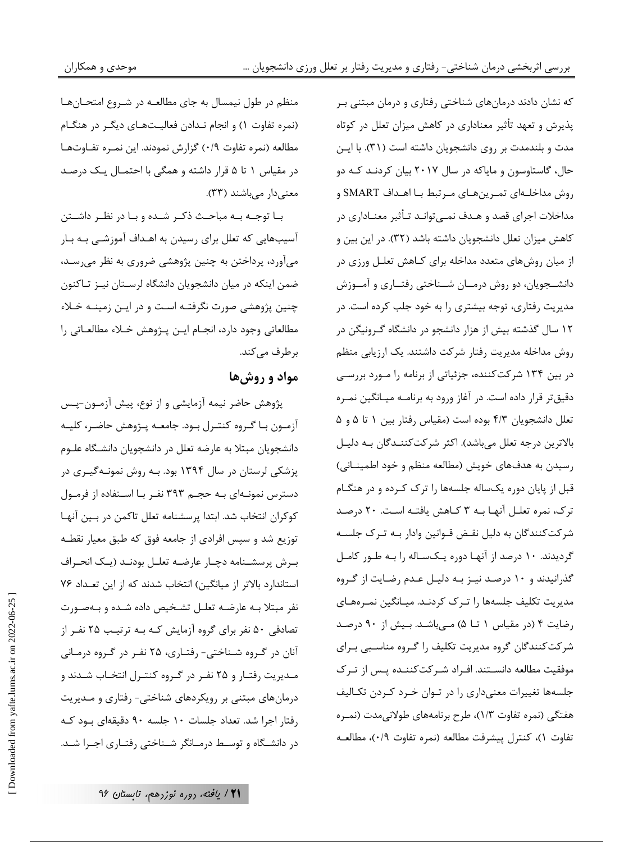که نشان دادند درمانهای شناختی رفتاری و درمان مبتنی بر پذیرش و تعهد تأثیر معناداری در کاهش میزان تعلل در کوتاه مدت و بلندمدت بر روی دانشجویان داشته است (۳۱). با ایـن حال، گاستاوسون و مایاکه در سال ۲۰۱۷ بیان کردنـد کـه دو روش مداخلــهای تمـرینهـای مـرتبط بـا اهــداف SMART و مداخلات اجرای قصد و هـدف نمـیتوانـد تـأثیر معنـاداری در كاهش ميزان تعلل دانشجويان داشته باشد (٣٢). در اين بين و از میان روشهای متعدد مداخله برای کـاهش تعلـل ورزی در دانشـجویان، دو روش درمـان شـناختی رفتـاری و آمـوزش مدیریت رفتاری، توجه بیشتری را به خود جلب کرده است. در ۱۲ سال گذشته بیش از هزار دانشجو در دانشگاه گـرونیگن در روش مداخله مدیریت رفتار شرکت داشتند. یک ارزیابی منظم در بین ۱۳۴ شرکتکننده، جزئیاتی از برنامه را مـورد بررسـی دقیق تر قرار داده است. در آغاز ورود به برنامـه میـانگین نمـره تعلل دانشجویان ۴/۳ بوده است (مقیاس رفتار بین ١ تا ۵ و ۵ بالاترين درجه تعلل ميباشد). اكثر شركت كننـدگان بـه دليـل رسیدن به هدفهای خویش (مطالعه منظم و خود اطمینـانی) قبل از پایان دوره یکساله جلسهها را ترک کـرده و در هنگـام ترک، نمره تعلـل آنهـا بـه ٣ كـاهش يافتـه اسـت. ٢٠ درصـد شرکت کنندگان به دلیل نقـض قـوانین وادار بـه تـرک جلسـه گردیدند. ۱۰ درصد از آنها دوره یکساله را بـه طـور کامـل گذرانیدند و ۱۰ درصد نیـز بـه دلیـل عـدم رضـایت از گـروه مدیریت تکلیف جلسهها را تـرک کردنـد. میـانگین نمـرههـای رضایت ۴ (در مقیاس ١ تا ۵) میباشد. بیش از ٩٠ درصد شرکت کنندگان گروه مدیریت تکلیف را گـروه مناسـبی بـرای موفقیت مطالعه دانسـتند. افـراد شـركتكننـده پـس از تـرک جلسهها تغییرات معنیداری را در توان خـرد کـردن تکـالیف هفتگی (نمره تفاوت ١/٣)، طرح برنامههای طولانیمدت (نمـره تفاوت ١)، كنترل ييشرفت مطالعه (نمره تفاوت ٠/٩)، مطالعـه

منظم در طول نیمسال به جای مطالعـه در شـروع امتحـانهـا (نمره تفاوت ۱) و انجام نـدادن فعالیـتهـای دیگـر در هنگـام مطالعه (نمره تفاوت ٠/٩) گزارش نمودند. این نمـره تفـاوتهـا در مقیاس ۱ تا ۵ قرار داشته و همگی با احتمـال یـک درصـد معنى دار مى باشند (٣٣).

بــا توجــه بــه مباحــث ذكـر شــده و بــا در نظــر داشــتن آسیبهایی که تعلل برای رسیدن به اهـداف آموزشـی بـه بـار میآورد، پرداختن به چنین پژوهشی ضروری به نظر میرسـد، ضمن اینکه در میان دانشجویان دانشگاه لرسـتان نیـز تـاکنون چنین پژوهشی صورت نگرفتـه اسـت و در ایـن زمینـه خـلاء مطالعاتي وجود دارد، انجـام ايـن پـژوهش خـلاء مطالعـاتي را برطرف مے کند.

## مواد و روشها

پژوهش حاضر نیمه آزمایشی و از نوع، پیش آزمـون-پـس آزمـون بـا گـروه كنتـرل بـود. جامعـه پـژوهش حاضـر، كليـه دانشجویان مبتلا به عارضه تعلل در دانشجویان دانشگاه علـوم پزشکی لرستان در سال ۱۳۹۴ بود. بـه روش نمونـهگیـری در دسترس نمونـهای بـه حجـم ۳۹۳ نفـر بـا اسـتفاده از فرمـول كوكران انتخاب شد. ابتدا پرسشنامه تعلل تاكمن در بين آنها توزیع شد و سپس افرادی از جامعه فوق که طبق معیار نقطـه ب رش پرسشـنامه دچـار عارضـه تعلـل بودنـد (يـک انحـراف استاندارد بالاتر از میانگین) انتخاب شدند که از این تعداد ۷۶ نفر مبتلا بـه عارضـه تعلـل تشـخيص داده شـده و بـهصـورت تصادفی ۵۰ نفر برای گروه آزمایش کـه بـه ترتیـب ۲۵ نفـر از آنان در گروه شـناختی- رفتـاری، ۲۵ نفـر در گـروه درمـانی مـدیریت رفتـار و ۲۵ نفـر در گـروه کنتـرل انتخـاب شـدند و درمانهای مبتنی بر رویکردهای شناختی- رفتاری و مـدیریت رفتار اجرا شد. تعداد جلسات ١٠ جلسه ٩٠ دقيقهاى بود كـه در دانشگاه و توسط درمـانگر شـناختی رفتـاری اجـرا شـد.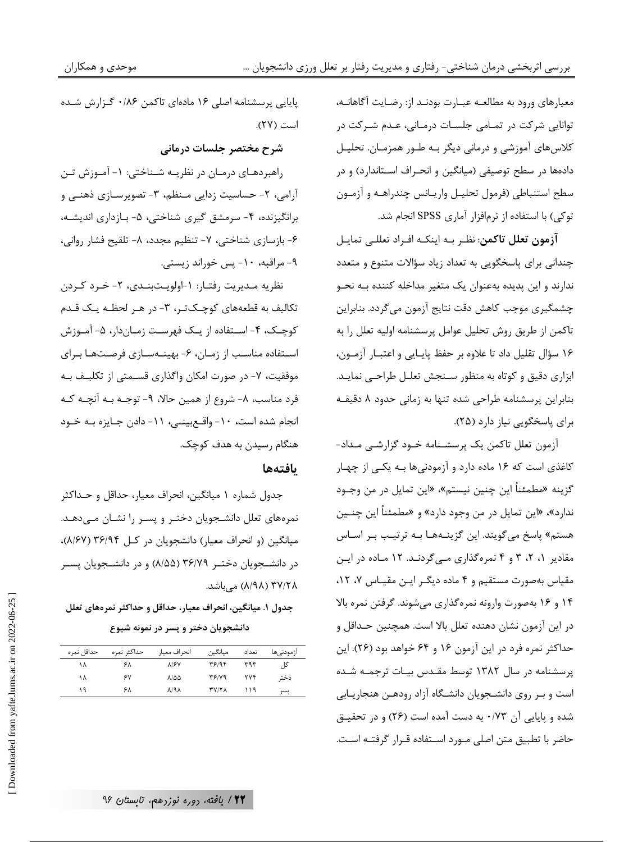موحدي و همكاران

معیارهای ورود به مطالعـه عبــارت بودنــد از: رضـایت آگاهانــه، توانایی شرکت در تمـامی جلسـات درمـانی، عـدم شـرکت در کلاسهای آموزشی و درمانی دیگر بـه طـور همزمـان. تحليـل دادهها در سطح توصیفی (میانگین و انحـراف اسـتاندارد) و در سطح استنباطي (فرمول تحليـل واريـانس چندراهـه و آزمـون توکی) با استفاده از نرمافزار آماری SPSS انجام شد.

**آزمون تعلل تاكمن**: نظـر بـه اينكـه افـراد تعللـى تمايـل چندانی برای پاسخگویی به تعداد زیاد سؤالات متنوع و متعدد ندارند و این پدیده بهعنوان یک متغیر مداخله کننده بـه نحـو چشمگیری موجب کاهش دقت نتایج آزمون میگردد. بنابراین تاكمن از طريق روش تحليل عوامل پرسشنامه اوليه تعلل را به ۱۶ سؤال تقليل داد تا علاوه بر حفظ پايايي و اعتبـار آزمـون، ابزاری دقیق و کوتاه به منظور سـنجش تعلـل طراحـی نمایـد. بنابراین پرسشنامه طراحی شده تنها به زمانی حدود ٨ دقیقـه برای پاسخگویی نیاز دارد (۲۵).

آزمون تعلل تاكمن يک پرسشـنامه خـود گزارشـي مـداد-کاغذی است که ۱۶ ماده دارد و آزمودنیها بـه یکـی از چهـار گزينه «مطمئناً اين چنين نيستم»، «اين تمايل در من وجـود ندارد»، «این تمایل در من وجود دارد» و «مطمئناً این چنــین هستم» پاسخ می گویند. این گزینـههـا بـه ترتیـب بـر اسـاس مقادیر ۱، ۲، ۳ و ۴ نمرهگذاری مے گردنـد. ۱۲ مـاده در ایـن مقیاس بهصورت مستقیم و ۴ ماده دیگ رایـن مقیـاس ۷، ۱۲، ۱۴ و ۱۶ بهصورت وارونه نمرهگذاری می شوند. گرفتن نمره بالا در اين آزمون نشان دهنده تعلل بالا است. همچنين حـداقل و حداکثر نمره فرد در این آزمون ۱۶ و ۶۴ خواهد بود (۲۶). این پرسشنامه در سال ۱۳۸۲ توسط مقـدس بیـات ترجمـه شـده است و بـر روی دانشـجویان دانشـگاه آزاد رودهـن هنجاریـابی شده و پایایی آن ۰/۷۳ به دست آمده است (۲۶) و در تحقیـق حاضر با تطبیق متن اصلی مــورد اســتفاده قــرار گرفتــه اســت.

یاپایی پرسشنامه اصلی ۱۶ مادهای تاکمن ۰/۸۶ گـزارش شـده است (٢٧).

#### شرح مختصر جلسات درماني

راهبردهـای درمـان در نظریـه شـناختی: ۱- آمـوزش تـن آرامی، ۲- حساسیت زدایی مـنظم، ۳- تصویرسـازی ذهنـی و برانگیزنده، ۴- سرمشق گیری شناختی، ۵- بـازداری اندیشـه، ۶- بازسازی شناختی، ۷- تنظیم مجدد، ۸- تلقیح فشار روانی، ۹- مراقبه، ۱۰- پس خوراند زیستی.

نظريه مديريت رفتار: ١-اولويتبندي، ٢- خرد كردن تکالیف به قطعههای کوچـکتـر، ۳- در هـر لحظـه یـک قـدم کوچک، ۴- استفاده از یک فهرست زمـاندار، ۵- آمـوزش استفاده مناسب از زمان، ۶- بهينهسازي فرصتها براي موفقیت، ۷- در صورت امکان واگذاری قسـمتی از تکلیـف بـه فرد مناسب، ٨- شروع از همين حالا، ٩- توجـه بـه آنچـه كـه انجام شده است، ١٠- واقع بينـى، ١١- دادن جـايزه بـه خـود هنگام رسیدن به هدف کوچک.

#### بافتهها

جدول شماره ۱ میانگین، انحراف معیار، حداقل و حــداکثر نمرههای تعلل دانشجویان دختـر و پسـر را نشـان مـی دهـد. میانگین (و انحراف معیار) دانشجویان در کل ۳۶/۹۴ (۸/۶۷)، در دانشــجویان دختــر ۳۶/۷۹ (۸/۵۵) و در دانشــجویان پســر ۸/۹۸) ۳۷/۲۸) مے باشد.

#### جدول ١. ميانگين، انحراف معيار، حداقل و حداكثر نمرههاي تعلل دانشجویان دختر و پسر در نمونه شیوع

| حداقل نمره | حداكثر نمره | انحراف معيار           | ميانگين      | تعداد      | ازمودنے ھا |
|------------|-------------|------------------------|--------------|------------|------------|
| ۱۸         | ۶۸          | <b>A/۶V</b>            | 48194        | ۳۹۳        | کل         |
| ١٨         | ۶٧          | 8100                   | T5/19        | <b>TVF</b> | دختر       |
| ۱۹         | ۶۸          | $\lambda$ /٩ $\lambda$ | <b>TV/TA</b> | ۱۱۹        | يسر        |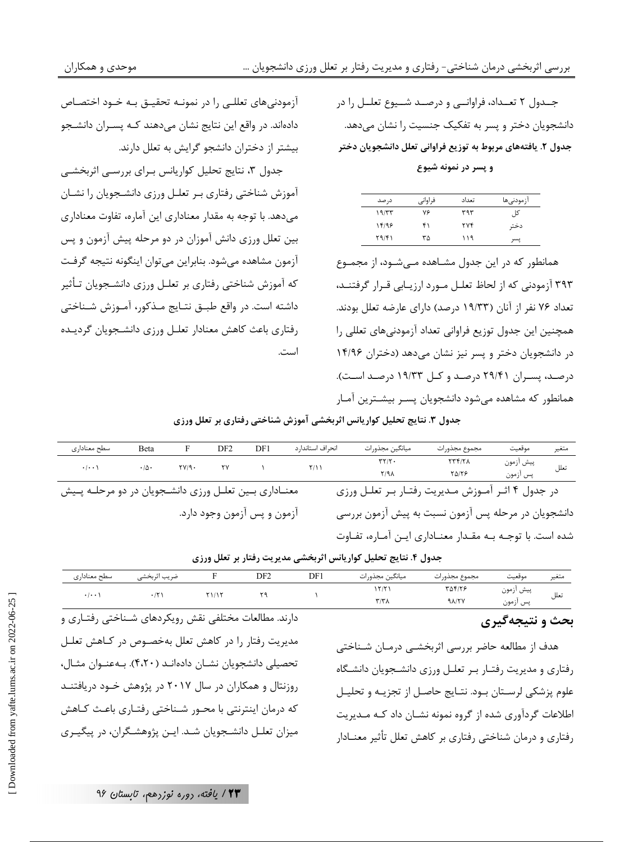جــدول ۲ تعــداد، فراوانــی و درصــد شــيوع تعلــل را در دانشجویان دختر و پسر به تفکیک جنسیت را نشان میدهد. جدول ۲. یافتههای مربوط به توزیع فراوانی تعلل دانشجویان دختر

و پسر در نمونه شیوع

| در صد | فراوانى | تعداد      | ازمودنىها |
|-------|---------|------------|-----------|
| ۱۹/۳۳ | ٧۶      | ۳۹۳        | کلی       |
| 14/98 | ۴۱      | <b>TYF</b> | دختر      |
| Y9/F1 | ٣۵      | ۱۱۹        | يسر       |

همانطور که در این جدول مشـاهده مـی شـود، از مجمـوع ۳۹۳ آزمودنی که از لحاظ تعلـل مـورد ارزیـابی قـرار گرفتنـد، تعداد ۷۶ نفر از آنان (۱۹/۳۳ درصد) دارای عارضه تعلل بودند. همچنین این جدول توزیع فراوانی تعداد آزمودنیهای تعللی را در دانشجویان دختر و پسر نیز نشان میدهد (دختران ۱۴/۹۶ درصد، پسران ۲۹/۴۱ درصد و کل ۱۹/۳۳ درصد است). همانطور که مشاهده می شود دانشجویان پسـر بیشـترین آمـار

أزمودنيهاي تعللـي را در نمونــه تحقيــق بــه خــود اختصــاص دادهاند. در واقع این نتایج نشان میدهند کـه پسـران دانشـجو بیشتر از دختران دانشجو گرایش به تعلل دارند.

جدول ۳، نتایج تحلیل کواریانس برای بررسی اثربخشی آموزش شناختی رفتاری بر تعلـل ورزی دانشـجویان را نشـان میدهد. با توجه به مقدار معناداری این آماره، تفاوت معناداری بین تعلل ورزی دانش آموزان در دو مرحله پیش آزمون و پس آزمون مشاهده مىشود. بنابراين مىتوان اينگونه نتيجه گرفت که آموزش شناختی رفتاری بر تعلـل ورزی دانشـجویان تـأثیر داشته است. در واقع طبـق نتـايج مـذكور، آمـوزش شـناختى رفتاري باعث كاهش معنادار تعلىل ورزى دانشجويان كرديده است.

جدول ٣. نتايج تحليل كواريانس اثربخشي آموزش شناختي رفتاري بر تعلل ورزي

| سطح معناداري                                           | Beta             |          | DF2 | DF1 | انحراف استاندار د                                   | میانگین مجذورات                                     | مجموع مجذورات              | موقعت                 | متغير |
|--------------------------------------------------------|------------------|----------|-----|-----|-----------------------------------------------------|-----------------------------------------------------|----------------------------|-----------------------|-------|
| $\cdot$ / $\cdot$ \                                    | $\cdot/\Delta$ . | $YY/9$ . | ٢Y  |     | Y/11                                                | $\mathbf{r}$                                        | $\tau \tau f/\tau \Lambda$ |                       | تعلل  |
|                                                        |                  |          |     |     |                                                     | Y/9A                                                | <b>TAITS</b>               | پیش آزمون<br>پس أزمون |       |
| معنـاداری بـین تعلـل ورزی دانشـجویان در دو مرحلـه پـیش |                  |          |     |     |                                                     | در جدول ۴ اثـر آمـوزش مـديريت رفتـار بـر تعلـل ورزى |                            |                       |       |
| آزمون و پس آزمون وجود دارد.                            |                  |          |     |     | دانشجویان در مرحله پس آزمون نسبت به پیش آزمون بررسی |                                                     |                            |                       |       |
|                                                        |                  |          |     |     |                                                     |                                                     |                            |                       |       |

شده است. با توجـه بـه مقـدار معنــاداری ایــن آمــاره، تفــاوت

| جدول ۴. نتایج تحلیل کواریانس اثربخشی مدیریت رفتار بر تعلل ورزی |  |  |
|----------------------------------------------------------------|--|--|
|                                                                |  |  |

| سطح معنادارى        | ضريب اثربخشى |     | DF <sub>2</sub> | DF1 | ميانگين مجذورات    | مجموع مجذورات | موقعيت    | متعير |
|---------------------|--------------|-----|-----------------|-----|--------------------|---------------|-----------|-------|
| $\cdot$ / $\cdot$ / |              | 115 | ه ۲             |     | ' ۲/۲              | 54178         | پیش ازمون | تعلل  |
|                     |              |     |                 |     | $\tau/\tau\lambda$ | 91/7V         | پس آزمون  |       |

#### بحث و نتیجهگیری

هدف از مطالعه حاضر بررسی اثربخشـی درمـان شـناختی رفتاری و مدیریت رفتـار بـر تعلـل ورزی دانشـجویان دانشـگاه علوم پزشكي لرسـتان بـود. نتـايج حاصـل از تجزيـه و تحليـل اطلاعات گردآوری شده از گروه نمونه نشـان داد کـه مـدیریت رفتاری و درمان شناختی رفتاری بر کاهش تعلل تأثیر معنــادار

دارند. مطالعات مختلفی نقش رویکردهای شـناختی رفتـاری و مدیریت رفتار را در کاهش تعلل بهخصـوص در کــاهش تعلــل تحصیلی دانشجویان نشـان دادهانـد (۴،۲۰). بـهعنـوان مثـال، روزنتال و همکاران در سال ۲۰۱۷ در پژوهش خــود دریافتنــد که درمان اینترنتی با محـور شـناختی رفتـاری باعـث کـاهش میزان تعلـل دانشـجویان شـد. ایـن پژوهشـگران، در پیگیـری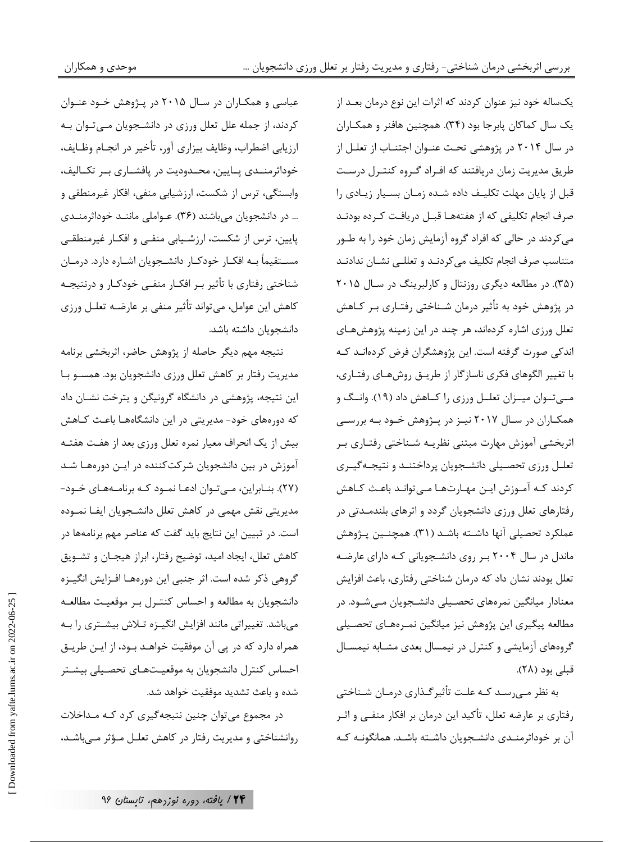یکساله خود نیز عنوان کردند که اثرات این نوع درمان بعـد از یک سال کماکان پابرجا بود (۳۴). همچنین هافنر و همکـاران در سال ۲۰۱۴ در پژوهشی تحت عنـوان اجتنـاب از تعلـل از طریق مدیریت زمان دریافتند که افـراد گـروه کنتـرل درسـت قبل از پایان مهلت تکلیـف داده شـده زمـان بسـیار زیـادی را صرف انجام تكليفي كه از هفتههـا قبــل دريافـت كــرده بودنــد می کردند در حالی که افراد گروه آزمایش زمان خود را به طـور متناسب صرف انجام تكليف مي كردنـد و تعللـى نشـان ندادنـد (۳۵). در مطالعه دیگری روزنتال و کارلبرینگ در سال ۲۰۱۵ در پژوهش خود به تأثیر درمان شـناختی رفتـاری بـر کـاهش تعلل ورزی اشاره کردهاند، هر چند در این زمینه پژوهشهای اندکی صورت گرفته است. این پژوهشگران فرض کردهانـد کـه با تغییر الگوهای فکری ناسازگار از طریـق روشهـای رفتـاری، مےتوان میںزان تعلیل ورزی را کیاهش داد (١٩). وانگ و همکـاران در سـال ۲۰۱۷ نیــز در پــژوهش خــود بــه بررســی اثربخشی آموزش مهارت مبتنی نظریـه شـناختی رفتـاری بـر تعلـل ورزى تحصـيلى دانشـجويان پرداختنـد و نتيجـهگيـرى کردند کـه آمـوزش ايـن مهـارتهـا مـىتوانـد باعـث كـاهش رفتارهای تعلل ورزی دانشجویان گردد و اثرهای بلندمـدتی در عملكرد تحصيلي آنها داشـته باشـد (٣١). همچنـين پـژوهش ماندل در سال ۲۰۰۴ بـر روی دانشـجویانی کـه دارای عارضـه تعلل بودند نشان داد که درمان شناختی رفتاری، باعث افزایش معنادار میانگین نمرههای تحصـیلی دانشـجویان مـیشـود. در مطالعه پیگیری این پژوهش نیز میانگین نمـرههـای تحصـیلی گروههای آزمایشی و کنترل در نیمسال بعدی مشـابه نیمسـال قبلی بود (۲۸).

به نظر مے رسـد کـه علـت تأثیرگـذاری درمـان شـناختی رفتاری بر عارضه تعلل، تأکید این درمان بر افکار منفـی و اثـر آن بر خوداثرمنـدی دانشـجویان داشـته باشـد. همانگونـه کـه

عباسی و همکـاران در سـال ۲۰۱۵ در پـژوهش خـود عنـوان کردند، از جمله علل تعلل ورزی در دانشجویان میتوان به ارزيابي اضطراب، وظايف بيزاري آور، تأخير در انجــام وظــايف، خوداثرمنــدی پــایین، محــدودیت در پافشــاری بــر تکــالیف، وابستگی، ترس از شکست، ارزشیابی منفی، افکار غیرمنطقی و ... در دانشجویان میباشند (۳۶). عـواملی ماننـد خوداثرمنـدی پایین، ترس از شکست، ارزشـیابی منفـی و افکـار غیرمنطقـی مســتقيماً بــه افكــار خودكــار دانشــجويان اشــاره دارد. درمــان شناختی رفتاری با تأثیر بـر افکـار منفـی خودکـار و درنتیجـه کاهش این عوامل، میتواند تأثیر منفی بر عارضـه تعلـل ورزی دانشجویان داشته باشد.

نتيجه مهم ديگر حاصله از پژوهش حاضر، اثربخشي برنامه مدیریت رفتار بر کاهش تعلل ورزی دانشجویان بود. همسـو بـا این نتیجه، پژوهشی در دانشگاه گرونیگن و پترخت نشـان داد که دورههای خود- مدیریتی در این دانشگاههـا باعـث کـاهش بیش از یک انحراف معیار نمره تعلل ورزی بعد از هفت هفتـه آموزش در بین دانشجویان شرکت کننده در ایـن دورههـا شـد (٢٧). بنـابراين، مـىتـوان ادعـا نمـود كـه برنامـههـاى خـود-مدیریتی نقش مهمی در کاهش تعلل دانشجویان ایفـا نمـوده است. در تبیین این نتایج باید گفت که عناصر مهم برنامهها در كاهش تعلل، ايجاد اميد، توضيح رفتار، ابراز هيجـان و تشـويق گروهی ذکر شده است. اثر جنبی این دورههـا افـزایش انگیـزه دانشجويان به مطالعه و احساس كنتـرل بـر موقعيـت مطالعـه میباشد. تغییراتی مانند افزایش انگیـزه تـلاش بیشـتری را بـه همراه دارد که در یی آن موفقیت خواهـد بــود، از ایــن طریــق احساس کنترل دانشجویان به موقعیتهای تحصیلی بیشتر شده و باعث تشدید موفقیت خواهد شد.

در مجموع مي توان چنين نتيجه گيري كرد كـه مـداخلات روانشناختی و مدیریت رفتار در کاهش تعلـل مـؤثر مـی باشـد،

Downloaded from yafte.lums.ac.ir on 2022-06-25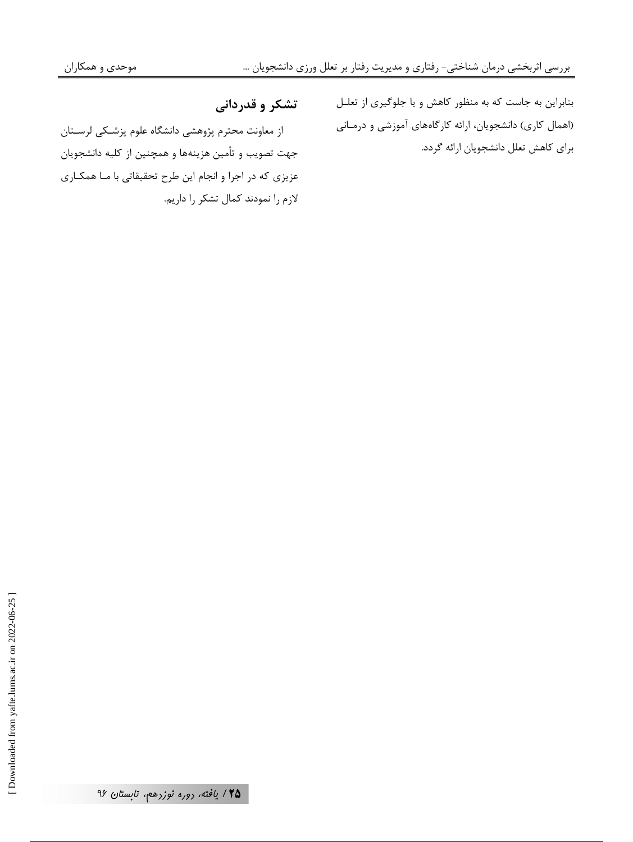بنابراین به جاست که به منظور کاهش و یا جلوگیری از تعلـل

(اهمال کاری) دانشجویان، ارائه کارگاههای آموزشی و درمـانی

برای کاهش تعلل دانشجویان ارائه گردد.

تشکر و قدردانی

از معاونت محترم پژوهشی دانشگاه علوم پزشـكی لرسـتان جهت تصويب و تأمين هزينهها و همچنين از كليه دانشجويان عزیزی که در اجرا و انجام این طرح تحقیقاتی با مـا همکـاری لازم را نمودند كمال تشكر را داريم.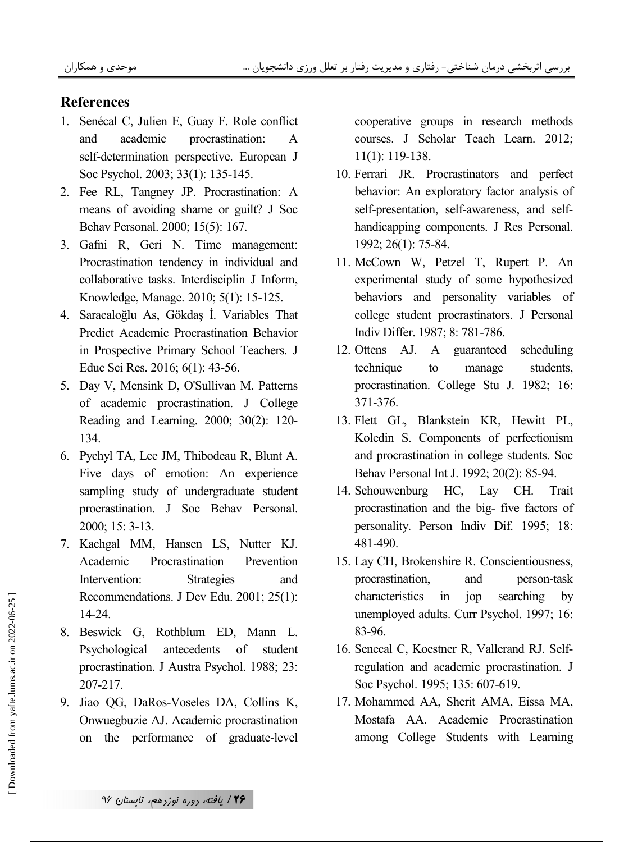#### **References**

- 1. Senécal C, Julien E, Guay F. Role conflict and academic procrastination:  $\mathsf{A}$ self-determination perspective. European J Soc Psychol. 2003; 33(1): 135-145.
- 2. Fee RL, Tangney JP. Procrastination: A means of avoiding shame or guilt? J Soc Behav Personal. 2000; 15(5): 167.
- 3. Gafni R, Geri N. Time management: Procrastination tendency in individual and collaborative tasks. Interdisciplin J Inform, Knowledge, Manage. 2010; 5(1): 15-125.
- 4. Saracaloğlu As, Gökdaş İ. Variables That Predict Academic Procrastination Behavior in Prospective Primary School Teachers. J Educ Sci Res. 2016; 6(1): 43-56.
- 5. Day V, Mensink D, O'Sullivan M. Patterns of academic procrastination. J College Reading and Learning. 2000; 30(2): 120-134.
- 6. Pychyl TA, Lee JM, Thibodeau R, Blunt A. Five days of emotion: An experience sampling study of undergraduate student procrastination. J Soc Behav Personal. 2000; 15: 3-13.
- 7. Kachgal MM, Hansen LS, Nutter KJ. Academic Procrastination Prevention Intervention: **Strategies** and Recommendations. J Dev Edu. 2001; 25(1): 14-24.
- 8. Beswick G, Rothblum ED, Mann L. Psychological antecedents of student procrastination. J Austra Psychol. 1988; 23: 207-217.
- 9. Jiao QG, DaRos-Voseles DA, Collins K, Onwuegbuzie AJ. Academic procrastination on the performance of graduate-level

cooperative groups in research methods courses. J Scholar Teach Learn. 2012;  $11(1)$ : 119-138.

- 10. Ferrari JR. Procrastinators and perfect behavior: An exploratory factor analysis of self-presentation, self-awareness, and selfhandicapping components. J Res Personal. 1992; 26(1): 75-84.
- 11. McCown W, Petzel T, Rupert P. An experimental study of some hypothesized behaviors and personality variables of college student procrastinators. J Personal Indiv Differ. 1987; 8: 781-786.
- 12. Ottens AJ. A guaranteed scheduling students. technique to manage procrastination. College Stu J. 1982; 16: 371-376.
- 13. Flett GL, Blankstein KR, Hewitt PL, Koledin S. Components of perfectionism and procrastination in college students. Soc Behav Personal Int J. 1992; 20(2): 85-94.
- 14. Schouwenburg HC, Lay CH. Trait procrastination and the big- five factors of personality. Person Indiv Dif. 1995; 18: 481-490.
- 15. Lay CH, Brokenshire R. Conscientiousness, procrastination, and person-task characteristics  $in$ jop searching by unemployed adults. Curr Psychol. 1997; 16: 83-96.
- 16. Senecal C, Koestner R, Vallerand RJ. Selfregulation and academic procrastination. J Soc Psychol. 1995; 135: 607-619.
- 17. Mohammed AA, Sherit AMA, Eissa MA, Mostafa AA. Academic Procrastination among College Students with Learning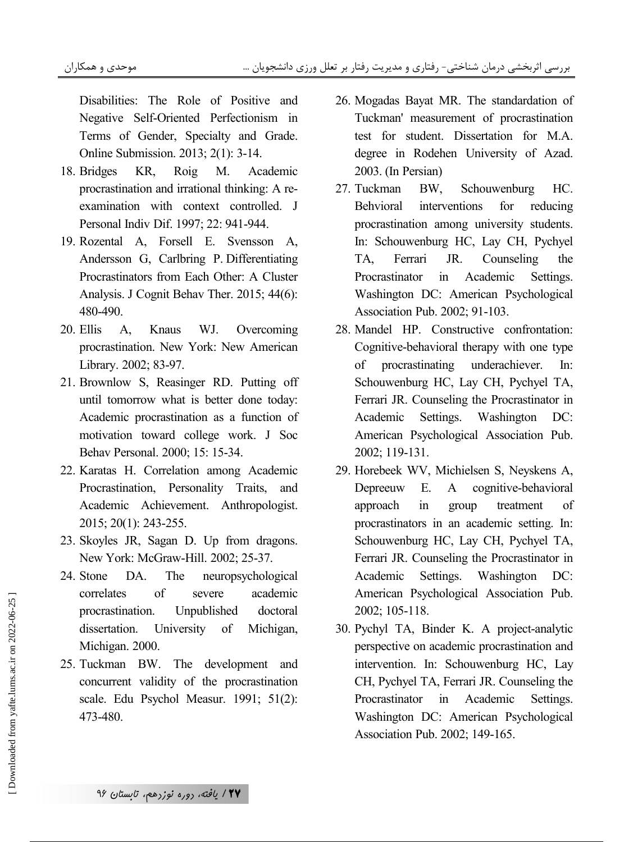Disabilities: The Role of Positive and Negative Self-Oriented Perfectionism in Terms of Gender, Specialty and Grade. Online Submission. 2013; 2(1): 3-14.

- Academic 18. Bridges KR. Roig **M.** procrastination and irrational thinking: A reexamination with context controlled. J Personal Indiv Dif. 1997; 22: 941-944.
- 19. Rozental A, Forsell E. Svensson A, Andersson G, Carlbring P. Differentiating Procrastinators from Each Other: A Cluster Analysis. J Cognit Behav Ther. 2015; 44(6): 480-490.
- 20. Ellis Knaus WJ. Overcoming  $A_{1}$ procrastination. New York: New American Library. 2002; 83-97.
- 21. Brownlow S, Reasinger RD. Putting off until tomorrow what is better done today: Academic procrastination as a function of motivation toward college work. J Soc Behav Personal. 2000; 15: 15-34.
- 22. Karatas H. Correlation among Academic Procrastination, Personality Traits, and Academic Achievement. Anthropologist. 2015; 20(1): 243-255.
- 23. Skoyles JR, Sagan D. Up from dragons. New York: McGraw-Hill. 2002; 25-37.
- 24 Stone  $DA$ The neuropsychological  $\delta$ correlates academic severe Unpublished procrastination. doctoral dissertation. University Michigan, of Michigan. 2000.
- 25. Tuckman BW. The development and concurrent validity of the procrastination scale. Edu Psychol Measur. 1991; 51(2): 473-480.
- 26. Mogadas Bayat MR. The standardation of Tuckman' measurement of procrastination test for student. Dissertation for M.A. degree in Rodehen University of Azad. 2003. (In Persian)
- 27 Tuckman BW. Schouwenburg HC. **Behvioral** interventions for reducing procrastination among university students. In: Schouwenburg HC, Lay CH, Pychyel TA. Ferrari JR. Counseling the Academic Settings. Procrastinator  $in$ Washington DC: American Psychological Association Pub. 2002; 91-103.
- 28. Mandel HP. Constructive confrontation: Cognitive-behavioral therapy with one type of procrastinating underachiever.  $In:$ Schouwenburg HC, Lay CH, Pychyel TA, Ferrari JR. Counseling the Procrastinator in Academic Washington Settings.  $DC:$ American Psychological Association Pub. 2002; 119-131.
- 29. Horebeek WV, Michielsen S, Neyskens A, E. cognitive-behavioral Depreeuw  $\mathbf{A}$ approach  $in$ treatment group of procrastinators in an academic setting. In: Schouwenburg HC, Lay CH, Pychyel TA, Ferrari JR. Counseling the Procrastinator in Washington Academic Settings.  $DC$ American Psychological Association Pub. 2002; 105-118.
- 30. Pychyl TA, Binder K. A project-analytic perspective on academic procrastination and intervention. In: Schouwenburg HC, Lay CH, Pychyel TA, Ferrari JR. Counseling the  $in$ Academic **Procrastinator** Settings. Washington DC: American Psychological Association Pub. 2002; 149-165.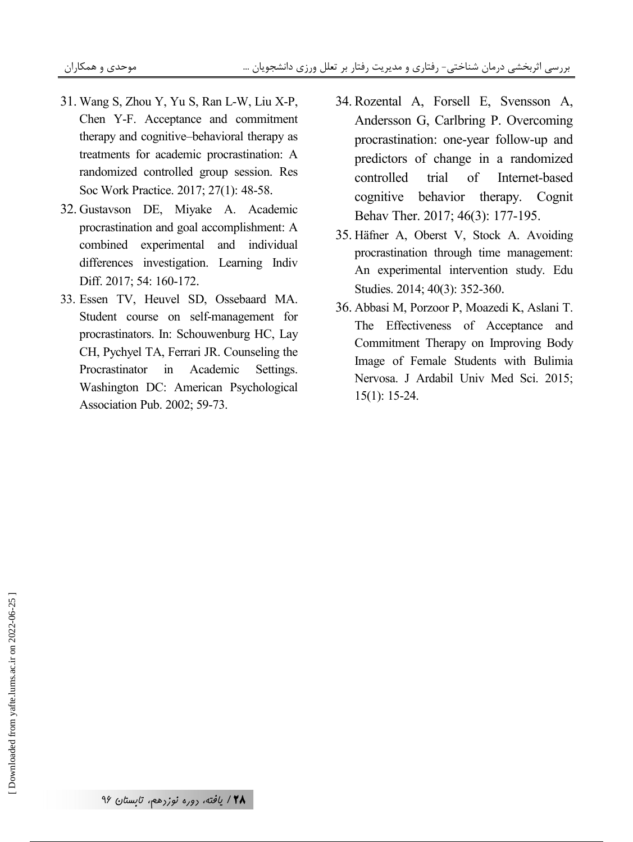- 31. Wang S, Zhou Y, Yu S, Ran L-W, Liu X-P, Chen Y-F. Acceptance and commitment therapy and cognitive–behavioral therapy as treatments for academic procrastination: A randomized controlled group session. Res Soc Work Practice. 2017; 27(1): 48-58.
- 32. Gustavson DE, Miyake A. Academic procrastination and goal accomplishment: A combined experimental and individual differences investigation. Learning Indiv Diff. 2017; 54: 160-172.
- 33. Essen TV, Heuvel SD, Ossebaard MA. Student course on self-management for procrastinators. In: Schouwenburg HC, Lay CH, Pychyel TA, Ferrari JR. Counseling the Procrastinator in Academic Settings. Washington DC: American Psychological Association Pub. 2002; 59-73.
- 34. Rozental A, Forsell E, Svensson A, Andersson G, Carlbring P. Overcoming procrastination: one-year follow-up and predictors of change in a randomized controlled trial of Internet-based cognitive behavior therapy. Cognit Behav Ther. 2017; 46(3): 177-195.
- 35. Häfner A, Oberst V, Stock A. Avoiding procrastination through time management: An experimental intervention study. Edu Studies. 2014; 40(3): 352-360.
- 36. Abbasi M, Porzoor P, Moazedi K, Aslani T. The Effectiveness of Acceptance and Commitment Therapy on Improving Body Image of Female Students with Bulimia Nervosa. J Ardabil Univ Med Sci. 2015; 15(1): 15-24.